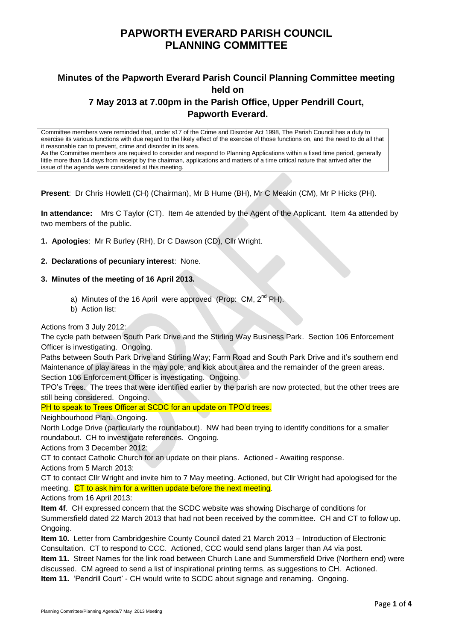# **Minutes of the Papworth Everard Parish Council Planning Committee meeting held on 7 May 2013 at 7.00pm in the Parish Office, Upper Pendrill Court, Papworth Everard.**

Committee members were reminded that, under s17 of the Crime and Disorder Act 1998, The Parish Council has a duty to exercise its various functions with due regard to the likely effect of the exercise of those functions on, and the need to do all that it reasonable can to prevent, crime and disorder in its area. As the Committee members are required to consider and respond to Planning Applications within a fixed time period, generally little more than 14 days from receipt by the chairman, applications and matters of a time critical nature that arrived after the issue of the agenda were considered at this meeting.

**Present**: Dr Chris Howlett (CH) (Chairman), Mr B Hume (BH), Mr C Meakin (CM), Mr P Hicks (PH).

**In attendance:** Mrs C Taylor (CT). Item 4e attended by the Agent of the Applicant. Item 4a attended by two members of the public.

**1. Apologies**: Mr R Burley (RH), Dr C Dawson (CD), Cllr Wright.

#### **2. Declarations of pecuniary interest**: None.

#### **3. Minutes of the meeting of 16 April 2013.**

- a) Minutes of the 16 April were approved (Prop: CM, 2<sup>nd</sup> PH).
- b) Action list:

#### Actions from 3 July 2012:

The cycle path between South Park Drive and the Stirling Way Business Park. Section 106 Enforcement Officer is investigating. Ongoing.

Paths between South Park Drive and Stirling Way; Farm Road and South Park Drive and it's southern end Maintenance of play areas in the may pole, and kick about area and the remainder of the green areas.

Section 106 Enforcement Officer is investigating. Ongoing.

TPO's Trees. The trees that were identified earlier by the parish are now protected, but the other trees are still being considered. Ongoing.

PH to speak to Trees Officer at SCDC for an update on TPO'd trees.

Neighbourhood Plan. Ongoing.

North Lodge Drive (particularly the roundabout). NW had been trying to identify conditions for a smaller roundabout. CH to investigate references. Ongoing.

Actions from 3 December 2012:

CT to contact Catholic Church for an update on their plans. Actioned - Awaiting response. Actions from 5 March 2013:

CT to contact Cllr Wright and invite him to 7 May meeting. Actioned, but Cllr Wright had apologised for the meeting. CT to ask him for a written update before the next meeting.

Actions from 16 April 2013:

**Item 4f**. CH expressed concern that the SCDC website was showing Discharge of conditions for Summersfield dated 22 March 2013 that had not been received by the committee. CH and CT to follow up. Ongoing.

**Item 10.** Letter from Cambridgeshire County Council dated 21 March 2013 – Introduction of Electronic Consultation. CT to respond to CCC. Actioned, CCC would send plans larger than A4 via post.

**Item 11.** Street Names for the link road between Church Lane and Summersfield Drive (Northern end) were discussed. CM agreed to send a list of inspirational printing terms, as suggestions to CH. Actioned.

**Item 11.** 'Pendrill Court' - CH would write to SCDC about signage and renaming. Ongoing.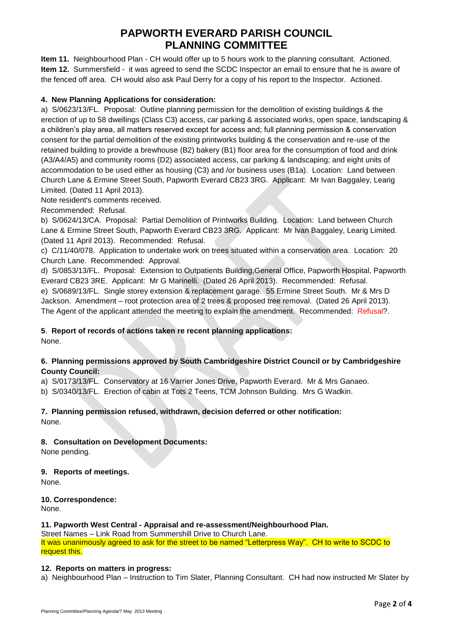**Item 11.** Neighbourhood Plan - CH would offer up to 5 hours work to the planning consultant. Actioned. **Item 12.** Summersfield - it was agreed to send the SCDC Inspector an email to ensure that he is aware of the fenced off area. CH would also ask Paul Derry for a copy of his report to the Inspector. Actioned.

## **4. New Planning Applications for consideration:**

a) S/0623/13/FL. Proposal: Outline planning permission for the demolition of existing buildings & the erection of up to 58 dwellings (Class C3) access, car parking & associated works, open space, landscaping & a children's play area, all matters reserved except for access and; full planning permission & conservation consent for the partial demolition of the existing printworks building & the conservation and re-use of the retained building to provide a brewhouse (B2) bakery (B1) floor area for the consumption of food and drink (A3/A4/A5) and community rooms (D2) associated access, car parking & landscaping; and eight units of accommodation to be used either as housing (C3) and /or business uses (B1a). Location: Land between Church Lane & Ermine Street South, Papworth Everard CB23 3RG. Applicant: Mr Ivan Baggaley, Learig Limited. (Dated 11 April 2013).

Note resident's comments received.

Recommended: Refusal.

b) S/0624/13/CA. Proposal: Partial Demolition of Printworks Building. Location: Land between Church Lane & Ermine Street South, Papworth Everard CB23 3RG. Applicant: Mr Ivan Baggaley, Learig Limited. (Dated 11 April 2013). Recommended: Refusal.

c) C/11/40/078. Application to undertake work on trees situated within a conservation area. Location: 20 Church Lane. Recommended: Approval.

d) S/0853/13/FL. Proposal: Extension to Outpatients Building,General Office, Papworth Hospital, Papworth Everard CB23 3RE. Applicant: Mr G Marinelli. (Dated 26 April 2013). Recommended: Refusal. e) S/0689/13/FL. Single storey extension & replacement garage. 55 Ermine Street South. Mr & Mrs D Jackson. Amendment – root protection area of 2 trees & proposed tree removal. (Dated 26 April 2013). The Agent of the applicant attended the meeting to explain the amendment. Recommended: Refusal?.

### **5**. **Report of records of actions taken re recent planning applications:**

None.

## **6. Planning permissions approved by South Cambridgeshire District Council or by Cambridgeshire County Council:**

a) S/0173/13/FL. Conservatory at 16 Varrier Jones Drive, Papworth Everard. Mr & Mrs Ganaeo.

b) S/0340/13/FL. Erection of cabin at Tots 2 Teens, TCM Johnson Building. Mrs G Wadkin.

## **7. Planning permission refused, withdrawn, decision deferred or other notification:**

None.

## **8. Consultation on Development Documents:**

None pending.

### **9. Reports of meetings.**

None.

**10. Correspondence:** None.

### **11. Papworth West Central - Appraisal and re-assessment/Neighbourhood Plan.**

Street Names – Link Road from Summershill Drive to Church Lane. It was unanimously agreed to ask for the street to be named "Letterpress Way". CH to write to SCDC to request this.

### **12. Reports on matters in progress:**

a) Neighbourhood Plan – Instruction to Tim Slater, Planning Consultant. CH had now instructed Mr Slater by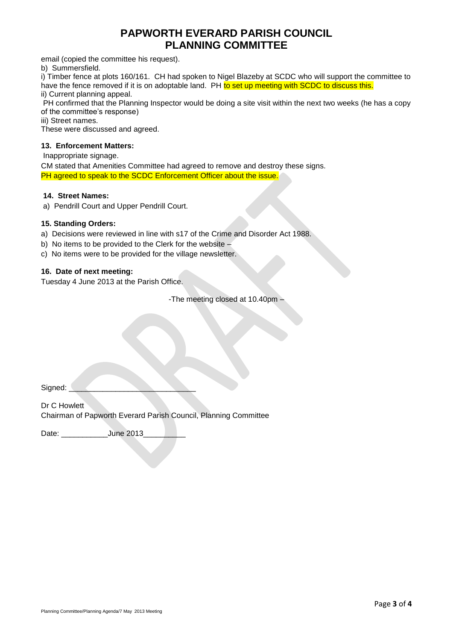email (copied the committee his request).

b) Summersfield.

i) Timber fence at plots 160/161. CH had spoken to Nigel Blazeby at SCDC who will support the committee to have the fence removed if it is on adoptable land. PH to set up meeting with SCDC to discuss this.

ii) Current planning appeal.

PH confirmed that the Planning Inspector would be doing a site visit within the next two weeks (he has a copy of the committee's response)

iii) Street names.

These were discussed and agreed.

## **13. Enforcement Matters:**

Inappropriate signage.

CM stated that Amenities Committee had agreed to remove and destroy these signs. PH agreed to speak to the SCDC Enforcement Officer about the issue.

## **14. Street Names:**

a) Pendrill Court and Upper Pendrill Court.

#### **15. Standing Orders:**

a) Decisions were reviewed in line with s17 of the Crime and Disorder Act 1988.

- b) No items to be provided to the Clerk for the website –
- c) No items were to be provided for the village newsletter.

#### **16. Date of next meeting:**

Tuesday 4 June 2013 at the Parish Office.

-The meeting closed at 10.40pm –

| Signed: |  |  |  |
|---------|--|--|--|
|         |  |  |  |

Dr C Howlett Chairman of Papworth Everard Parish Council, Planning Committee

Date: Uune 2013